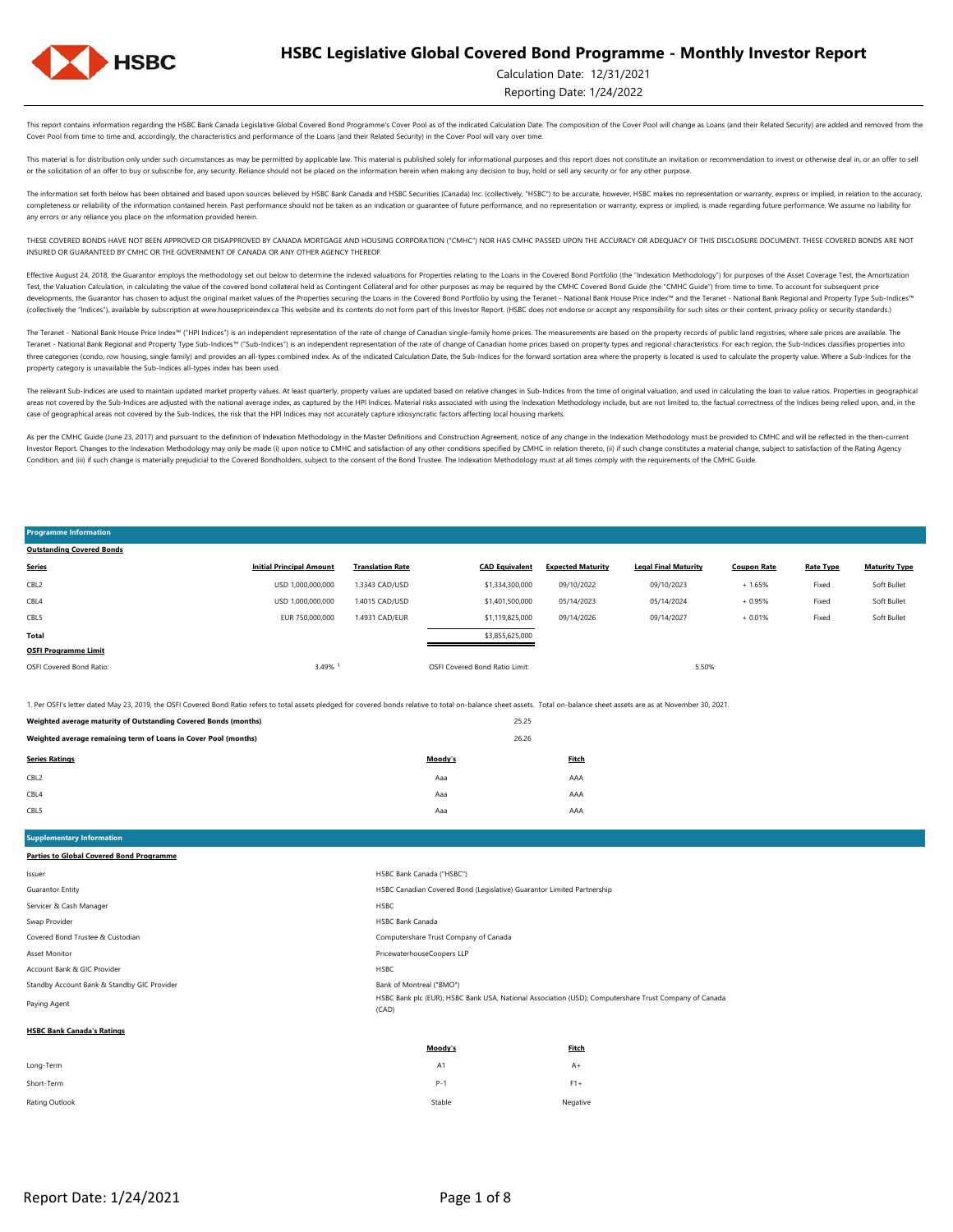

#### Calculation Date: 12/31/2021

Reporting Date: 1/24/2022

Soft Bullet

This report contains information regarding the HSBC Bank Canada Legislative Global Covered Bond Programme's Cover Pool as of the indicated Calculation Date. The composition of the Cover Pool will change as Loans (and their Cover Pool from time to time and, accordingly, the characteristics and performance of the Loans (and their Related Security) in the Cover Pool will vary over time.

This material is for distribution only under such circumstances as may be permitted by applicable law. This material is published solely for informational purposes and this report does not constitute an invitation or recom or the solicitation of an offer to buy or subscribe for, any security. Reliance should not be placed on the information herein when making any decision to buy, hold or sell any security or for any other purpose.

The information set forth below has been obtained and based upon sources believed by HSBC Bank Canada and HSBC Securities (Canada) Inc. (collectively, "HSBC") to be accurate, however, HSBC makes no representation or warran completeness or reliability of the information contained herein. Past performance should not be taken as an indication or guarantee of future performance, and no representation or warranty, express or implied, is made rega any errors or any reliance you place on the information provided herein.

THESE COVERED BONDS HAVE NOT BEEN APPROVED OR DISAPPROVED BY CANADA MORTGAGE AND HOUSING CORPORATION ("CMHC") NOR HAS CMHC PASSED UPON THE ACCURACY OR ADEQUACY OF THIS DISCLOSURE DOCUMENT. THESE COVERED BONDS ARE NOT INSURED OR GUARANTEED BY CMHC OR THE GOVERNMENT OF CANADA OR ANY OTHER AGENCY THEREOF.

Effective August 24, 2018, the Guarantor employs the methodology set out below to determine the indexed valuations for Properties relating to the Loans in the Covered Bond Portfolio (the "Indexation Methodology") for purpo Test, the Valuation Calculation, in calculating the value of the covered bond collateral held as Contingent Collateral and for other purposes as may be required by the CMHC Covered Bond Guide (the "CMHC Guide") from time t developments, the Guarantor has chosen to adjust the original market values of the Properties securing the Loans in the Covered Bond Portfolio by using the Teranet - National Bank House Price Index<sup>nu</sup> and the Teranet - Na (collectively the "Indices"), available by subscription at www.housepriceindex.ca This website and its contents do not form part of this Investor Report. (HSBC does not endorse or accept any responsibility for such sites o

The Teranet - National Bank House Price Index<sup>na</sup> ("HPI Indices") is an independent representation of the rate of change of Canadian single-family home prices. The measurements are based on the property records of public l Teranet - National Bank Regional and Property Type Sub-Indices™ ("Sub-Indices") is an independent representation of the rate of change of Canadian home prices based on property types and regional characteristics. For each three categories (condo, row housing, single family) and provides an all-types combined index. As of the indicated Calculation Date, the Sub-Indices for the forward sortation area where the property is located is used to c property category is unavailable the Sub-Indices all-types index has been used.

The relevant Sub-Indices are used to maintain updated market property values. At least quarterly, property values are updated based on relative changes in Sub-Indices from the time of original valuation, and used in calcul areas not covered by the Sub-Indices are adjusted with the national average index, as captured by the HPI Indices. Material risks associated with using the Indexition Methodology include, but are not limited to, the factua case of geographical areas not covered by the Sub-Indices, the risk that the HPI Indices may not accurately capture idiosyncratic factors affecting local housing markets.

As per the CMHC Guide (June 23, 2017) and pursuant to the definition of Indexation Methodology in the Master Definitions and Construction Agreement, notice of any change in the Indexation Methodology must be provided to CM Investor Report. Changes to the Indexation Methodology may only be made (i) upon notice to CMHC and satisfaction of any other conditions specified by CMHC in relation thereto, (ii) if such change constitutes a material cha Condition, and (iii) if such change is materially prejudicial to the Covered Bondholders, subject to the consent of the Bond Trustee. The Indexation Methodology must at all times comply with the requirements of the CMHC Gu

#### OSFI Covered Bond Ratio: 1999 COVERSION: 3.49% and SALES Covered Bond Ratio Limit: 5.50% COVERSION: 5.50% COVERSION: 5.50% COVERSION: 5.50% COVERSION: 5.50% COVERSION: 5.50% COVERSION: 5.50% COVERSION: 5.50% COVERSION: 5.5 **OSFI Programme Limit Total** \$3,855,625,000 Fixed Soft Bullet CBL5 EUR 750,000,000 1.4931 CAD/EUR \$1,119,825,000 09/14/2026 09/14/2027 + 0.01% Fixed + 1.65% Fixed Soft Bullet CBL4 USD 1,000,000,000 1.4015 CAD/USD \$1,401,500,000 05/14/2023 05/14/2024 + 0.95% CBL2 USD 1,000,000,000 1.3343 CAD/USD \$1,334,300,000 09/10/2022 09/10/2023 **Series Initial Principal Amount Translation Rate CAD Equivalent Expected Maturity Legal Final Maturity Coupon Rate Rate Type Maturity Type Outstanding Covered Bonds**

1. Per OSFI's letter dated May 23, 2019, the OSFI Covered Bond Ratio refers to total assets pledged for covered bonds relative to total on-balance sheet assets. Total on-balance sheet assets are as at November 30, 2021.

| reigned average maturity or outstanding covered bonds (months)  |         | _____ |
|-----------------------------------------------------------------|---------|-------|
| Weighted average remaining term of Loans in Cover Pool (months) |         | 26.26 |
| <b>Series Ratings</b>                                           | Moody's | Fitch |
| CBL <sub>2</sub>                                                | Aaa     | AAA   |
| CBL4                                                            | Aaa     | AAA   |
| CBL5                                                            | Aaa     | AAA   |
|                                                                 |         |       |

**Weighted average maturity of Outstanding Covered Bonds (months)** 25.25 **Covered by 25.25** 

**Supplementary Information Parties to Global Covered Bond Programme**

**Programme Information** 

|                                             | <b>Mandale</b><br>Final-                                                                                       |
|---------------------------------------------|----------------------------------------------------------------------------------------------------------------|
| <b>HSBC Bank Canada's Ratings</b>           |                                                                                                                |
| Paying Agent                                | HSBC Bank plc (EUR); HSBC Bank USA, National Association (USD); Computershare Trust Company of Canada<br>(CAD) |
| Standby Account Bank & Standby GIC Provider | Bank of Montreal ("BMO")                                                                                       |
| Account Bank & GIC Provider                 | <b>HSBC</b>                                                                                                    |
| Asset Monitor                               | PricewaterhouseCoopers LLP                                                                                     |
| Covered Bond Trustee & Custodian            | Computershare Trust Company of Canada                                                                          |
| Swap Provider                               | <b>HSBC Bank Canada</b>                                                                                        |
| Servicer & Cash Manager                     | <b>HSBC</b>                                                                                                    |
| Guarantor Entity                            | HSBC Canadian Covered Bond (Legislative) Guarantor Limited Partnership                                         |
| lssuer                                      | HSBC Bank Canada ("HSBC")                                                                                      |
|                                             |                                                                                                                |

|                | Moody's        | <b>Fitch</b> |
|----------------|----------------|--------------|
| Long-Term      | A <sub>1</sub> | $A+$         |
| Short-Term     | $P-1$          | $F1+$        |
| Rating Outlook | Stable         | Negative     |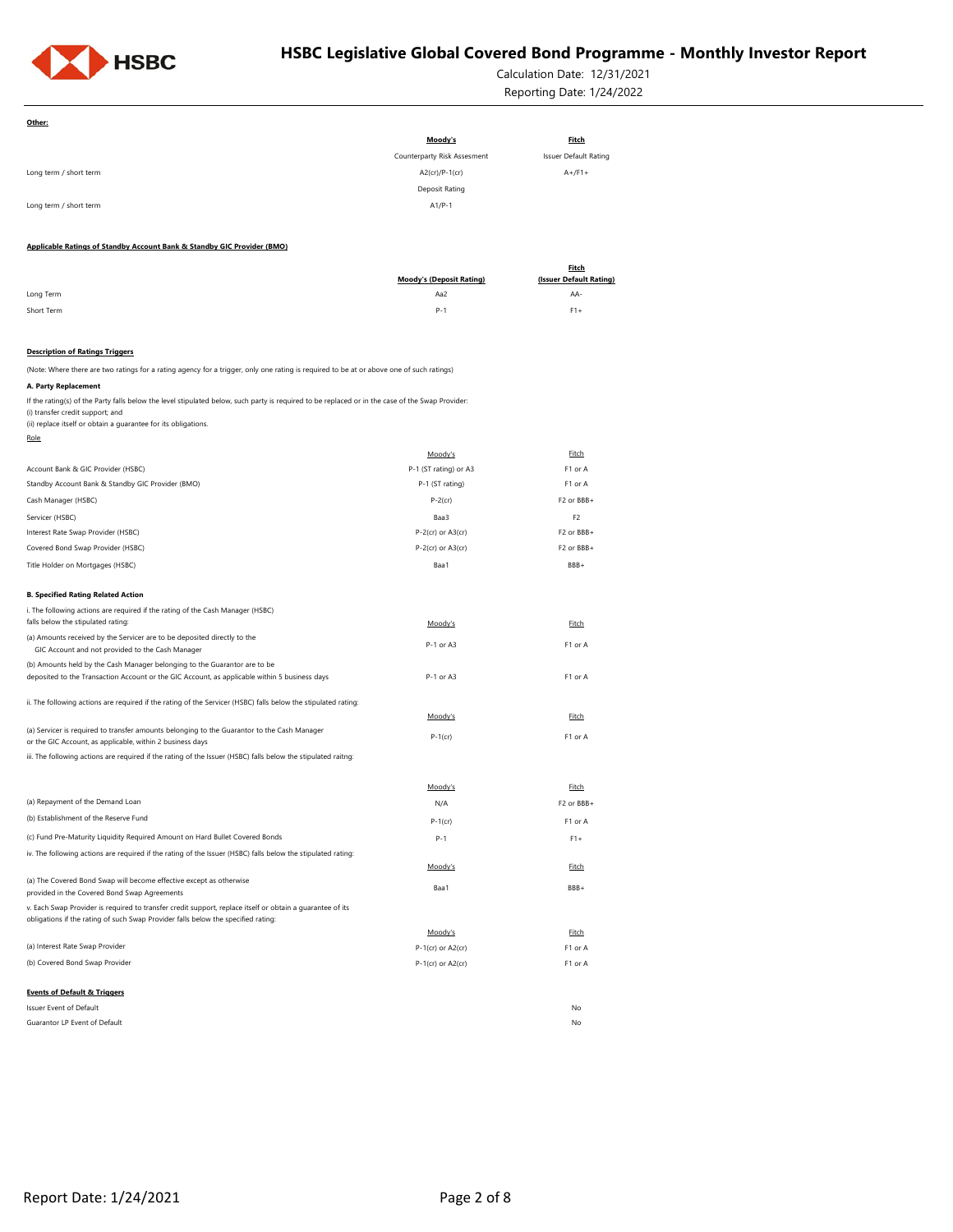

**Other:**

# **HSBC Legislative Global Covered Bond Programme - Monthly Investor Report**

Calculation Date: 12/31/2021 Reporting Date: 1/24/2022

| Moody's<br><b>Fitch</b><br>Counterparty Risk Assesment<br><b>Issuer Default Rating</b><br>A2(cr)/P-1(cr)<br>$A+$ /F1+<br>Long term / short term<br>Deposit Rating<br>Long term / short term<br>$A1/P-1$<br>Applicable Ratings of Standby Account Bank & Standby GIC Provider (BMO)<br><b>Fitch</b><br>(Issuer Default Rating)<br><b>Moody's (Deposit Rating)</b><br>Long Term<br>Aa2<br>AA-<br>Short Term<br>$P-1$<br>$F1+$<br><b>Description of Ratings Triggers</b><br>(Note: Where there are two ratings for a rating agency for a trigger, only one rating is required to be at or above one of such ratings)<br>A. Party Replacement<br>If the rating(s) of the Party falls below the level stipulated below, such party is required to be replaced or in the case of the Swap Provider:<br>(i) transfer credit support; and<br>(ii) replace itself or obtain a guarantee for its obligations.<br>Role<br>Fitch<br>Moody's<br>P-1 (ST rating) or A3<br>Account Bank & GIC Provider (HSBC)<br>F1 or A<br>P-1 (ST rating)<br>Standby Account Bank & Standby GIC Provider (BMO)<br>F1 or A<br>F2 or BBB+<br>Cash Manager (HSBC)<br>$P-2$ (cr)<br>Servicer (HSBC)<br>Baa3<br>F <sub>2</sub> |
|----------------------------------------------------------------------------------------------------------------------------------------------------------------------------------------------------------------------------------------------------------------------------------------------------------------------------------------------------------------------------------------------------------------------------------------------------------------------------------------------------------------------------------------------------------------------------------------------------------------------------------------------------------------------------------------------------------------------------------------------------------------------------------------------------------------------------------------------------------------------------------------------------------------------------------------------------------------------------------------------------------------------------------------------------------------------------------------------------------------------------------------------------------------------------------------------|
|                                                                                                                                                                                                                                                                                                                                                                                                                                                                                                                                                                                                                                                                                                                                                                                                                                                                                                                                                                                                                                                                                                                                                                                              |
|                                                                                                                                                                                                                                                                                                                                                                                                                                                                                                                                                                                                                                                                                                                                                                                                                                                                                                                                                                                                                                                                                                                                                                                              |
|                                                                                                                                                                                                                                                                                                                                                                                                                                                                                                                                                                                                                                                                                                                                                                                                                                                                                                                                                                                                                                                                                                                                                                                              |
|                                                                                                                                                                                                                                                                                                                                                                                                                                                                                                                                                                                                                                                                                                                                                                                                                                                                                                                                                                                                                                                                                                                                                                                              |
|                                                                                                                                                                                                                                                                                                                                                                                                                                                                                                                                                                                                                                                                                                                                                                                                                                                                                                                                                                                                                                                                                                                                                                                              |
|                                                                                                                                                                                                                                                                                                                                                                                                                                                                                                                                                                                                                                                                                                                                                                                                                                                                                                                                                                                                                                                                                                                                                                                              |
|                                                                                                                                                                                                                                                                                                                                                                                                                                                                                                                                                                                                                                                                                                                                                                                                                                                                                                                                                                                                                                                                                                                                                                                              |
|                                                                                                                                                                                                                                                                                                                                                                                                                                                                                                                                                                                                                                                                                                                                                                                                                                                                                                                                                                                                                                                                                                                                                                                              |
|                                                                                                                                                                                                                                                                                                                                                                                                                                                                                                                                                                                                                                                                                                                                                                                                                                                                                                                                                                                                                                                                                                                                                                                              |
|                                                                                                                                                                                                                                                                                                                                                                                                                                                                                                                                                                                                                                                                                                                                                                                                                                                                                                                                                                                                                                                                                                                                                                                              |
|                                                                                                                                                                                                                                                                                                                                                                                                                                                                                                                                                                                                                                                                                                                                                                                                                                                                                                                                                                                                                                                                                                                                                                                              |
|                                                                                                                                                                                                                                                                                                                                                                                                                                                                                                                                                                                                                                                                                                                                                                                                                                                                                                                                                                                                                                                                                                                                                                                              |
|                                                                                                                                                                                                                                                                                                                                                                                                                                                                                                                                                                                                                                                                                                                                                                                                                                                                                                                                                                                                                                                                                                                                                                                              |
|                                                                                                                                                                                                                                                                                                                                                                                                                                                                                                                                                                                                                                                                                                                                                                                                                                                                                                                                                                                                                                                                                                                                                                                              |
|                                                                                                                                                                                                                                                                                                                                                                                                                                                                                                                                                                                                                                                                                                                                                                                                                                                                                                                                                                                                                                                                                                                                                                                              |
|                                                                                                                                                                                                                                                                                                                                                                                                                                                                                                                                                                                                                                                                                                                                                                                                                                                                                                                                                                                                                                                                                                                                                                                              |
|                                                                                                                                                                                                                                                                                                                                                                                                                                                                                                                                                                                                                                                                                                                                                                                                                                                                                                                                                                                                                                                                                                                                                                                              |
|                                                                                                                                                                                                                                                                                                                                                                                                                                                                                                                                                                                                                                                                                                                                                                                                                                                                                                                                                                                                                                                                                                                                                                                              |
|                                                                                                                                                                                                                                                                                                                                                                                                                                                                                                                                                                                                                                                                                                                                                                                                                                                                                                                                                                                                                                                                                                                                                                                              |
|                                                                                                                                                                                                                                                                                                                                                                                                                                                                                                                                                                                                                                                                                                                                                                                                                                                                                                                                                                                                                                                                                                                                                                                              |
|                                                                                                                                                                                                                                                                                                                                                                                                                                                                                                                                                                                                                                                                                                                                                                                                                                                                                                                                                                                                                                                                                                                                                                                              |
|                                                                                                                                                                                                                                                                                                                                                                                                                                                                                                                                                                                                                                                                                                                                                                                                                                                                                                                                                                                                                                                                                                                                                                                              |
| Interest Rate Swap Provider (HSBC)<br>$P-2$ (cr) or $A3$ (cr)<br>F2 or BBB+                                                                                                                                                                                                                                                                                                                                                                                                                                                                                                                                                                                                                                                                                                                                                                                                                                                                                                                                                                                                                                                                                                                  |
| Covered Bond Swap Provider (HSBC)<br>$P-2$ (cr) or $A3$ (cr)<br>F2 or BBB+                                                                                                                                                                                                                                                                                                                                                                                                                                                                                                                                                                                                                                                                                                                                                                                                                                                                                                                                                                                                                                                                                                                   |
| Title Holder on Mortgages (HSBC)<br>Baa1<br>BBB+                                                                                                                                                                                                                                                                                                                                                                                                                                                                                                                                                                                                                                                                                                                                                                                                                                                                                                                                                                                                                                                                                                                                             |
|                                                                                                                                                                                                                                                                                                                                                                                                                                                                                                                                                                                                                                                                                                                                                                                                                                                                                                                                                                                                                                                                                                                                                                                              |
| <b>B. Specified Rating Related Action</b>                                                                                                                                                                                                                                                                                                                                                                                                                                                                                                                                                                                                                                                                                                                                                                                                                                                                                                                                                                                                                                                                                                                                                    |
| i. The following actions are required if the rating of the Cash Manager (HSBC)                                                                                                                                                                                                                                                                                                                                                                                                                                                                                                                                                                                                                                                                                                                                                                                                                                                                                                                                                                                                                                                                                                               |
| falls below the stipulated rating:<br>Moody's<br><b>Fitch</b><br>(a) Amounts received by the Servicer are to be deposited directly to the                                                                                                                                                                                                                                                                                                                                                                                                                                                                                                                                                                                                                                                                                                                                                                                                                                                                                                                                                                                                                                                    |
| P-1 or A3<br>F1 or A<br>GIC Account and not provided to the Cash Manager                                                                                                                                                                                                                                                                                                                                                                                                                                                                                                                                                                                                                                                                                                                                                                                                                                                                                                                                                                                                                                                                                                                     |
| (b) Amounts held by the Cash Manager belonging to the Guarantor are to be                                                                                                                                                                                                                                                                                                                                                                                                                                                                                                                                                                                                                                                                                                                                                                                                                                                                                                                                                                                                                                                                                                                    |
| deposited to the Transaction Account or the GIC Account, as applicable within 5 business days<br>P-1 or A3<br>F1 or A                                                                                                                                                                                                                                                                                                                                                                                                                                                                                                                                                                                                                                                                                                                                                                                                                                                                                                                                                                                                                                                                        |
| ii. The following actions are required if the rating of the Servicer (HSBC) falls below the stipulated rating:                                                                                                                                                                                                                                                                                                                                                                                                                                                                                                                                                                                                                                                                                                                                                                                                                                                                                                                                                                                                                                                                               |
| Moody's<br>Fitch                                                                                                                                                                                                                                                                                                                                                                                                                                                                                                                                                                                                                                                                                                                                                                                                                                                                                                                                                                                                                                                                                                                                                                             |
| (a) Servicer is required to transfer amounts belonging to the Guarantor to the Cash Manager<br>$P-1$ (cr)<br>F1 or A                                                                                                                                                                                                                                                                                                                                                                                                                                                                                                                                                                                                                                                                                                                                                                                                                                                                                                                                                                                                                                                                         |
| or the GIC Account, as applicable, within 2 business days                                                                                                                                                                                                                                                                                                                                                                                                                                                                                                                                                                                                                                                                                                                                                                                                                                                                                                                                                                                                                                                                                                                                    |
| iii. The following actions are required if the rating of the Issuer (HSBC) falls below the stipulated raitng:                                                                                                                                                                                                                                                                                                                                                                                                                                                                                                                                                                                                                                                                                                                                                                                                                                                                                                                                                                                                                                                                                |
| Moody's<br>Fitch                                                                                                                                                                                                                                                                                                                                                                                                                                                                                                                                                                                                                                                                                                                                                                                                                                                                                                                                                                                                                                                                                                                                                                             |
| (a) Repayment of the Demand Loan<br>F <sub>2</sub> or BBB+<br>N/A                                                                                                                                                                                                                                                                                                                                                                                                                                                                                                                                                                                                                                                                                                                                                                                                                                                                                                                                                                                                                                                                                                                            |
| (b) Establishment of the Reserve Fund<br>$P-1$ (cr)<br>F1 or A                                                                                                                                                                                                                                                                                                                                                                                                                                                                                                                                                                                                                                                                                                                                                                                                                                                                                                                                                                                                                                                                                                                               |
| (c) Fund Pre-Maturity Liquidity Required Amount on Hard Bullet Covered Bonds<br>P-1<br>$F1+$                                                                                                                                                                                                                                                                                                                                                                                                                                                                                                                                                                                                                                                                                                                                                                                                                                                                                                                                                                                                                                                                                                 |
| iv. The following actions are required if the rating of the Issuer (HSBC) falls below the stipulated rating:                                                                                                                                                                                                                                                                                                                                                                                                                                                                                                                                                                                                                                                                                                                                                                                                                                                                                                                                                                                                                                                                                 |
| Moody's<br>Fitch                                                                                                                                                                                                                                                                                                                                                                                                                                                                                                                                                                                                                                                                                                                                                                                                                                                                                                                                                                                                                                                                                                                                                                             |
| (a) The Covered Bond Swap will become effective except as otherwise<br>Baa1<br>BBB+<br>provided in the Covered Bond Swap Agreements                                                                                                                                                                                                                                                                                                                                                                                                                                                                                                                                                                                                                                                                                                                                                                                                                                                                                                                                                                                                                                                          |
| v. Each Swap Provider is required to transfer credit support, replace itself or obtain a quarantee of its                                                                                                                                                                                                                                                                                                                                                                                                                                                                                                                                                                                                                                                                                                                                                                                                                                                                                                                                                                                                                                                                                    |
| obligations if the rating of such Swap Provider falls below the specified rating:                                                                                                                                                                                                                                                                                                                                                                                                                                                                                                                                                                                                                                                                                                                                                                                                                                                                                                                                                                                                                                                                                                            |
| Moody's<br>Fitch                                                                                                                                                                                                                                                                                                                                                                                                                                                                                                                                                                                                                                                                                                                                                                                                                                                                                                                                                                                                                                                                                                                                                                             |
| (a) Interest Rate Swap Provider<br>$P-1$ (cr) or $A2$ (cr)<br>F1 or A                                                                                                                                                                                                                                                                                                                                                                                                                                                                                                                                                                                                                                                                                                                                                                                                                                                                                                                                                                                                                                                                                                                        |
| (b) Covered Bond Swap Provider<br>$P-1$ (cr) or $A2$ (cr)<br>F1 or A                                                                                                                                                                                                                                                                                                                                                                                                                                                                                                                                                                                                                                                                                                                                                                                                                                                                                                                                                                                                                                                                                                                         |
|                                                                                                                                                                                                                                                                                                                                                                                                                                                                                                                                                                                                                                                                                                                                                                                                                                                                                                                                                                                                                                                                                                                                                                                              |
| <b>Events of Default &amp; Triggers</b><br>Issuer Event of Default<br>No                                                                                                                                                                                                                                                                                                                                                                                                                                                                                                                                                                                                                                                                                                                                                                                                                                                                                                                                                                                                                                                                                                                     |
| Guarantor LP Event of Default<br>No                                                                                                                                                                                                                                                                                                                                                                                                                                                                                                                                                                                                                                                                                                                                                                                                                                                                                                                                                                                                                                                                                                                                                          |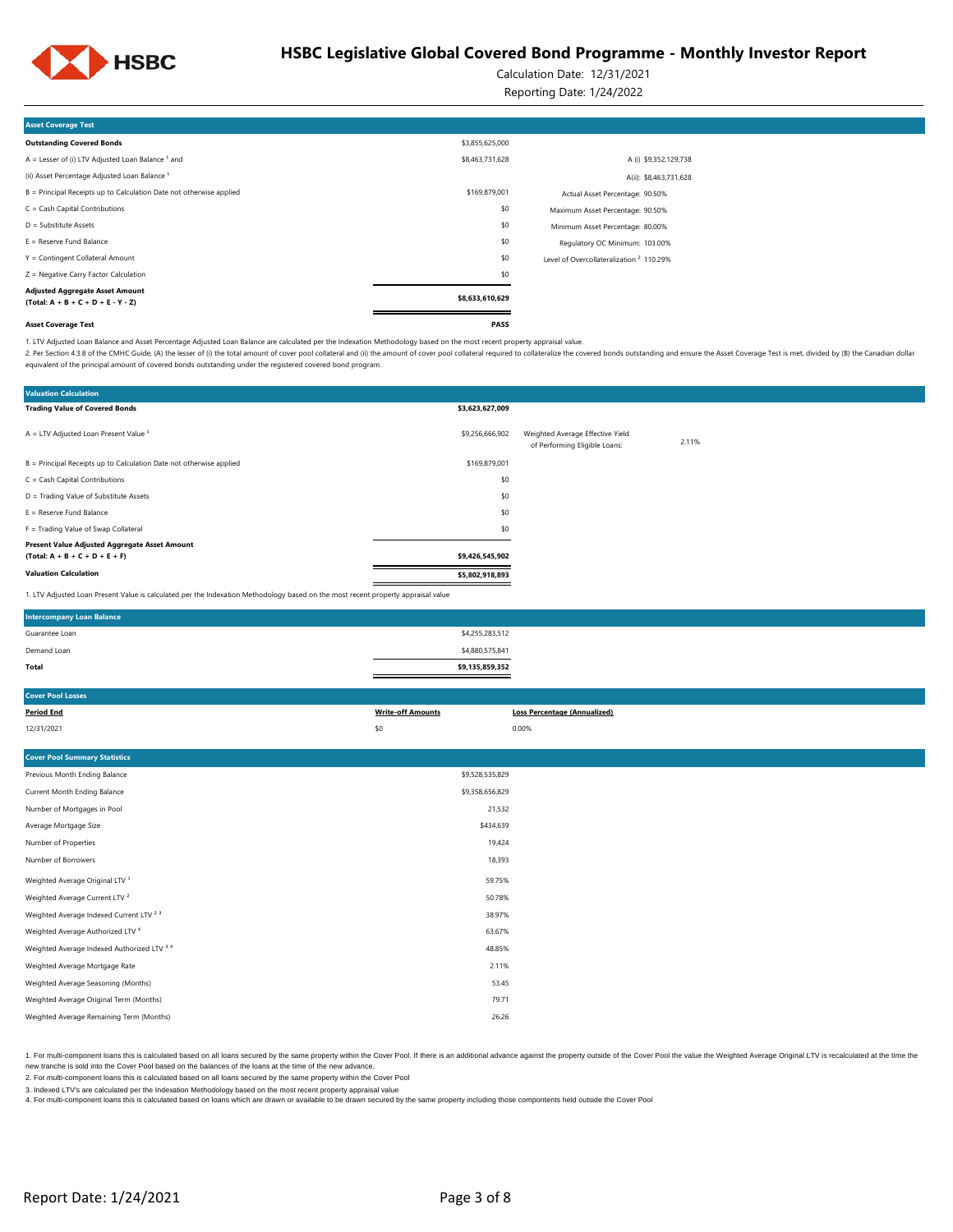

Calculation Date: 12/31/2021

Reporting Date: 1/24/2022

| <b>Asset Coverage Test</b>                                                     |                 |                                                     |  |
|--------------------------------------------------------------------------------|-----------------|-----------------------------------------------------|--|
| <b>Outstanding Covered Bonds</b>                                               | \$3,855,625,000 |                                                     |  |
| A = Lesser of (i) LTV Adjusted Loan Balance $1$ and                            | \$8,463,731,628 | A (i) \$9,352,129,738                               |  |
| (ii) Asset Percentage Adjusted Loan Balance <sup>1</sup>                       |                 | A(ii): \$8,463,731,628                              |  |
| B = Principal Receipts up to Calculation Date not otherwise applied            | \$169,879,001   | Actual Asset Percentage: 90.50%                     |  |
| C = Cash Capital Contributions                                                 | \$0             | Maximum Asset Percentage: 90.50%                    |  |
| D = Substitute Assets                                                          | \$0             | Minimum Asset Percentage: 80.00%                    |  |
| $E =$ Reserve Fund Balance                                                     | \$0             | Regulatory OC Minimum: 103.00%                      |  |
| Y = Contingent Collateral Amount                                               | \$0             | Level of Overcollateralization <sup>2</sup> 110.29% |  |
| Z = Negative Carry Factor Calculation                                          | \$0             |                                                     |  |
| <b>Adjusted Aggregate Asset Amount</b><br>$(Total: A + B + C + D + E - Y - Z)$ | \$8,633,610,629 |                                                     |  |
| <b>Asset Coverage Test</b>                                                     | <b>PASS</b>     |                                                     |  |

1. LTV Adjusted Loan Balance and Asset Percentage Adjusted Loan Balance are calculated per the Indexation Methodology based on the most recent property appraisal value.

2. Per Section 4.3.8 of the CMHC Guide, (A) the lesser of (i) the total amount of cover pool collateral and (ii) the amount of cover pool collateral required to collateral required to collateral required to collateralize t equivalent of the principal amount of covered bonds outstanding under the registered covered bond program.

| <b>Valuation Calculation</b>                                                                                                      |                 |                                                                   |       |
|-----------------------------------------------------------------------------------------------------------------------------------|-----------------|-------------------------------------------------------------------|-------|
| <b>Trading Value of Covered Bonds</b>                                                                                             | \$3,623,627,009 |                                                                   |       |
| $A = LTV$ Adjusted Loan Present Value $1$                                                                                         | \$9,256,666,902 | Weighted Average Effective Yield<br>of Performing Eligible Loans: | 2.11% |
| B = Principal Receipts up to Calculation Date not otherwise applied                                                               | \$169,879,001   |                                                                   |       |
| C = Cash Capital Contributions                                                                                                    | \$0             |                                                                   |       |
| D = Trading Value of Substitute Assets                                                                                            | \$0             |                                                                   |       |
| $E =$ Reserve Fund Balance                                                                                                        | \$0             |                                                                   |       |
| F = Trading Value of Swap Collateral                                                                                              | \$0             |                                                                   |       |
| Present Value Adjusted Aggregate Asset Amount<br>$(Total: A + B + C + D + E + F)$                                                 | \$9,426,545,902 |                                                                   |       |
| <b>Valuation Calculation</b>                                                                                                      | \$5,802,918,893 |                                                                   |       |
| 1. LTV Adjusted Loan Present Value is calculated per the Indexation Methodology based on the most recent property appraisal value |                 |                                                                   |       |

| <b>Cover Pool Losses</b>                           |                          |                                     |
|----------------------------------------------------|--------------------------|-------------------------------------|
| <b>Period End</b>                                  | <b>Write-off Amounts</b> | <b>Loss Percentage (Annualized)</b> |
| 12/31/2021                                         | \$0                      | 0.00%                               |
|                                                    |                          |                                     |
| <b>Cover Pool Summary Statistics</b>               |                          |                                     |
| Previous Month Ending Balance                      | \$9,528,535,829          |                                     |
| Current Month Ending Balance                       | \$9,358,656,829          |                                     |
| Number of Mortgages in Pool                        | 21,532                   |                                     |
| Average Mortgage Size                              | \$434,639                |                                     |
| Number of Properties                               | 19,424                   |                                     |
| Number of Borrowers                                | 18,393                   |                                     |
| Weighted Average Original LTV <sup>1</sup>         | 59.75%                   |                                     |
| Weighted Average Current LTV <sup>2</sup>          | 50.78%                   |                                     |
| Weighted Average Indexed Current LTV <sup>23</sup> | 38.97%                   |                                     |
| Weighted Average Authorized LTV <sup>4</sup>       | 63.67%                   |                                     |
| Weighted Average Indexed Authorized LTV 3 4        | 48.85%                   |                                     |
| Weighted Average Mortgage Rate                     | 2.11%                    |                                     |
| Weighted Average Seasoning (Months)                | 53.45                    |                                     |
| Weighted Average Original Term (Months)            | 79.71                    |                                     |
| Weighted Average Remaining Term (Months)           | 26.26                    |                                     |
|                                                    |                          |                                     |

1. For multi-component loans this is calculated based on all loans secured by the same property within the Cover Pool. If there is an additional advance against the property outside of the Cover Pool. If we leave the Ume t new tranche is sold into the Cover Pool based on the balances of the loans at the time of the new advance.

2. For multi-component loans this is calculated based on all loans secured by the same property within the Cover Pool

3. Indexed LTV's are calculated per the Indexation Methodology based on the most recent property appraisal value

4. For multi-component loans this is calculated based on loans which are drawn or available to be drawn secured by the same property including those compontents held outside the Cover Pool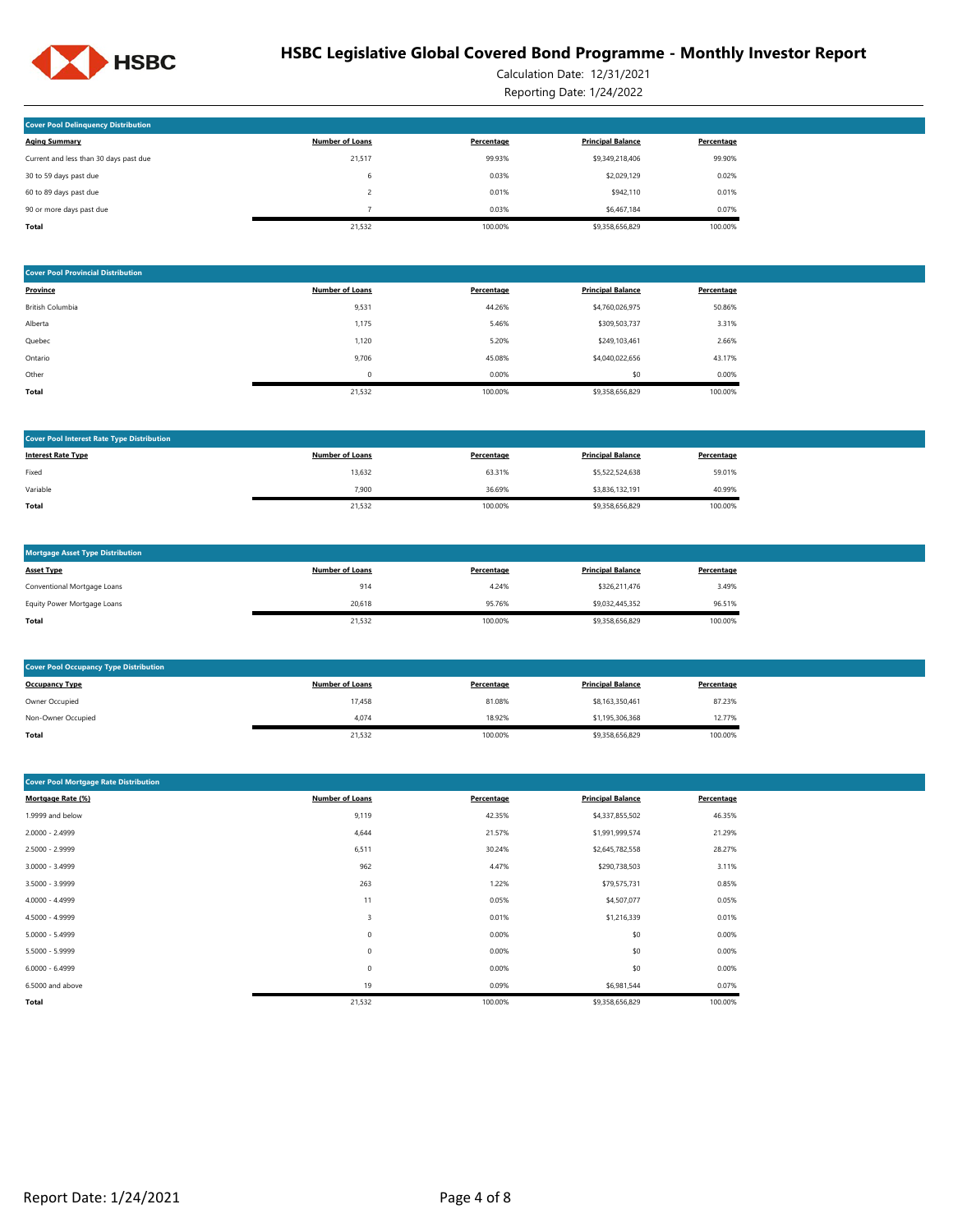

Calculation Date: 12/31/2021 Reporting Date: 1/24/2022

| <b>Cover Pool Delinquency Distribution</b> |                        |            |                          |            |
|--------------------------------------------|------------------------|------------|--------------------------|------------|
|                                            |                        |            |                          |            |
| <b>Aging Summary</b>                       | <b>Number of Loans</b> | Percentage | <b>Principal Balance</b> | Percentage |
| Current and less than 30 days past due     | 21,517                 | 99.93%     | \$9,349,218,406          | 99.90%     |
| 30 to 59 days past due                     | 6                      | 0.03%      | \$2,029,129              | 0.02%      |
| 60 to 89 days past due                     |                        | 0.01%      | \$942,110                | 0.01%      |
| 90 or more days past due                   |                        | 0.03%      | \$6,467,184              | 0.07%      |
| Total                                      | 21.532                 | 100.00%    | \$9,358,656,829          | 100.00%    |

| <b>Cover Pool Provincial Distribution</b> |                        |            |                          |            |
|-------------------------------------------|------------------------|------------|--------------------------|------------|
| Province                                  | <b>Number of Loans</b> | Percentage | <b>Principal Balance</b> | Percentage |
| British Columbia                          | 9,531                  | 44.26%     | \$4,760,026,975          | 50.86%     |
| Alberta                                   | 1,175                  | 5.46%      | \$309,503,737            | 3.31%      |
| Quebec                                    | 1,120                  | 5.20%      | \$249,103,461            | 2.66%      |
| Ontario                                   | 9,706                  | 45.08%     | \$4,040,022,656          | 43.17%     |
| Other                                     | $\Omega$               | 0.00%      | \$0                      | 0.00%      |
| Total                                     | 21,532                 | 100.00%    | \$9,358,656,829          | 100.00%    |

| <b>Number of Loans</b><br><b>Principal Balance</b><br><b>Interest Rate Type</b><br>Percentage<br>Percentage |
|-------------------------------------------------------------------------------------------------------------|
|                                                                                                             |
| 63.31%<br>59.01%<br>13,632<br>\$5,522,524,638<br>Fixed                                                      |
| \$3,836,132,191<br>36.69%<br>40.99%<br>Variable<br>7,900                                                    |
| 21,532<br>100.00%<br>\$9,358,656,829<br>100.00%<br>Total                                                    |

| <b>Mortgage Asset Type Distribution</b> |                        |            |                          |            |
|-----------------------------------------|------------------------|------------|--------------------------|------------|
| <b>Asset Type</b>                       | <b>Number of Loans</b> | Percentage | <b>Principal Balance</b> | Percentage |
| Conventional Mortgage Loans             | 914                    | 4.24%      | \$326,211,476            | 3.49%      |
| Equity Power Mortgage Loans             | 20,618                 | 95.76%     | \$9,032,445,352          | 96.51%     |
| Total                                   | 21,532                 | 100.00%    | \$9,358,656,829          | 100.00%    |

| <b>Cover Pool Occupancy Type Distribution</b> |                        |            |                          |            |  |  |  |  |
|-----------------------------------------------|------------------------|------------|--------------------------|------------|--|--|--|--|
| <b>Occupancy Type</b>                         | <b>Number of Loans</b> | Percentage | <b>Principal Balance</b> | Percentage |  |  |  |  |
| Owner Occupied                                | 17,458                 | 81.08%     | \$8,163,350,461          | 87.23%     |  |  |  |  |
| Non-Owner Occupied                            | 4.074                  | 18.92%     | \$1,195,306,368          | 12.77%     |  |  |  |  |
| Total                                         | 21,532                 | 100.00%    | \$9,358,656,829          | 100.00%    |  |  |  |  |

| <b>Cover Pool Mortgage Rate Distribution</b> |                        |            |                          |            |  |  |  |  |
|----------------------------------------------|------------------------|------------|--------------------------|------------|--|--|--|--|
| Mortgage Rate (%)                            | <b>Number of Loans</b> | Percentage | <b>Principal Balance</b> | Percentage |  |  |  |  |
| 1.9999 and below                             | 9,119                  | 42.35%     | \$4,337,855,502          | 46.35%     |  |  |  |  |
| 2.0000 - 2.4999                              | 4,644                  | 21.57%     | \$1,991,999,574          | 21.29%     |  |  |  |  |
| 2.5000 - 2.9999                              | 6,511                  | 30.24%     | \$2,645,782,558          | 28.27%     |  |  |  |  |
| $3.0000 - 3.4999$                            | 962                    | 4.47%      | \$290,738,503            | 3.11%      |  |  |  |  |
| 3.5000 - 3.9999                              | 263                    | 1.22%      | \$79,575,731             | 0.85%      |  |  |  |  |
| 4.0000 - 4.4999                              | 11                     | 0.05%      | \$4,507,077              | 0.05%      |  |  |  |  |
| 4.5000 - 4.9999                              | 3                      | 0.01%      | \$1,216,339              | 0.01%      |  |  |  |  |
| $5.0000 - 5.4999$                            | $\bf 0$                | 0.00%      | \$0                      | 0.00%      |  |  |  |  |
| 5.5000 - 5.9999                              | 0                      | 0.00%      | \$0                      | 0.00%      |  |  |  |  |
| $6.0000 - 6.4999$                            | 0                      | 0.00%      | \$0                      | 0.00%      |  |  |  |  |
| 6.5000 and above                             | 19                     | 0.09%      | \$6,981,544              | 0.07%      |  |  |  |  |
| Total                                        | 21,532                 | 100.00%    | \$9,358,656,829          | 100.00%    |  |  |  |  |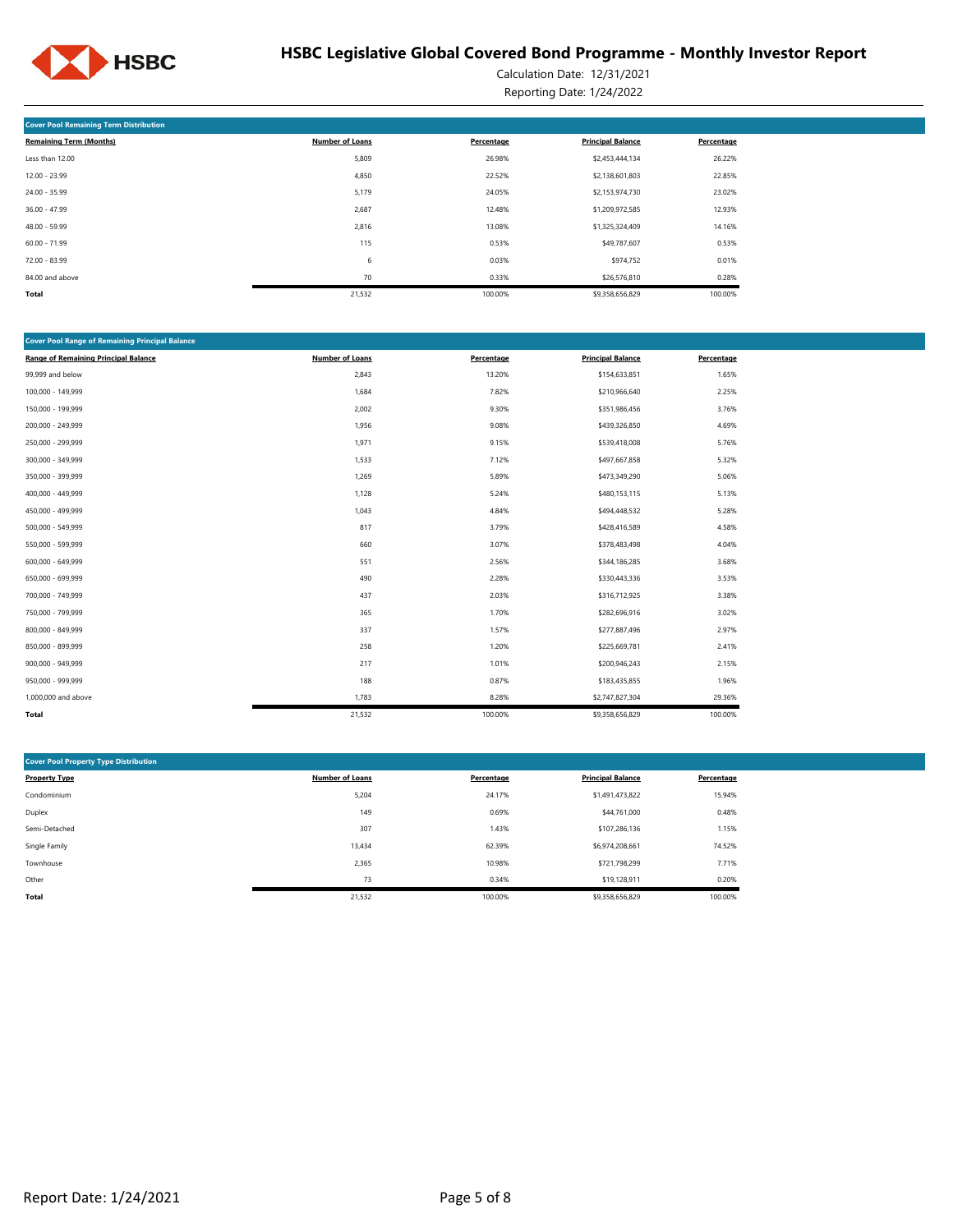

Calculation Date: 12/31/2021 Reporting Date: 1/24/2022

| <b>Cover Pool Remaining Term Distribution</b> |                        |            |                          |            |  |  |  |  |  |
|-----------------------------------------------|------------------------|------------|--------------------------|------------|--|--|--|--|--|
| <b>Remaining Term (Months)</b>                | <b>Number of Loans</b> | Percentage | <b>Principal Balance</b> | Percentage |  |  |  |  |  |
| Less than 12.00                               | 5,809                  | 26.98%     | \$2,453,444,134          | 26.22%     |  |  |  |  |  |
| $12.00 - 23.99$                               | 4,850                  | 22.52%     | \$2,138,601,803          | 22.85%     |  |  |  |  |  |
| $24.00 - 35.99$                               | 5,179                  | 24.05%     | \$2,153,974,730          | 23.02%     |  |  |  |  |  |
| $36.00 - 47.99$                               | 2,687                  | 12.48%     | \$1,209,972,585          | 12.93%     |  |  |  |  |  |
| $48.00 - 59.99$                               | 2,816                  | 13.08%     | \$1,325,324,409          | 14.16%     |  |  |  |  |  |
| $60.00 - 71.99$                               | 115                    | 0.53%      | \$49,787,607             | 0.53%      |  |  |  |  |  |
| $72.00 - 83.99$                               | 6                      | 0.03%      | \$974,752                | 0.01%      |  |  |  |  |  |
| 84.00 and above                               | 70                     | 0.33%      | \$26,576,810             | 0.28%      |  |  |  |  |  |
| <b>Total</b>                                  | 21,532                 | 100.00%    | \$9,358,656,829          | 100.00%    |  |  |  |  |  |

| <b>Cover Pool Range of Remaining Principal Balance</b> |                        |            |                          |            |  |  |  |  |  |  |
|--------------------------------------------------------|------------------------|------------|--------------------------|------------|--|--|--|--|--|--|
| <b>Range of Remaining Principal Balance</b>            | <b>Number of Loans</b> | Percentage | <b>Principal Balance</b> | Percentage |  |  |  |  |  |  |
| 99,999 and below                                       | 2,843                  | 13.20%     | \$154,633,851            | 1.65%      |  |  |  |  |  |  |
| 100,000 - 149,999                                      | 1,684                  | 7.82%      | \$210,966,640            | 2.25%      |  |  |  |  |  |  |
| 150,000 - 199,999                                      | 2,002                  | 9.30%      | \$351,986,456            | 3.76%      |  |  |  |  |  |  |
| 200,000 - 249,999                                      | 1,956                  | 9.08%      | \$439,326,850            | 4.69%      |  |  |  |  |  |  |
| 250,000 - 299,999                                      | 1,971                  | 9.15%      | \$539,418,008            | 5.76%      |  |  |  |  |  |  |
| 300,000 - 349,999                                      | 1,533                  | 7.12%      | \$497,667,858            | 5.32%      |  |  |  |  |  |  |
| 350,000 - 399,999                                      | 1,269                  | 5.89%      | \$473,349,290            | 5.06%      |  |  |  |  |  |  |
| 400,000 - 449,999                                      | 1,128                  | 5.24%      | \$480,153,115            | 5.13%      |  |  |  |  |  |  |
| 450,000 - 499,999                                      | 1,043                  | 4.84%      | \$494,448,532            | 5.28%      |  |  |  |  |  |  |
| 500,000 - 549,999                                      | 817                    | 3.79%      | \$428,416,589            | 4.58%      |  |  |  |  |  |  |
| 550,000 - 599,999                                      | 660                    | 3.07%      | \$378,483,498            | 4.04%      |  |  |  |  |  |  |
| 600,000 - 649,999                                      | 551                    | 2.56%      | \$344,186,285            | 3.68%      |  |  |  |  |  |  |
| 650,000 - 699,999                                      | 490                    | 2.28%      | \$330,443,336            | 3.53%      |  |  |  |  |  |  |
| 700,000 - 749,999                                      | 437                    | 2.03%      | \$316,712,925            | 3.38%      |  |  |  |  |  |  |
| 750,000 - 799,999                                      | 365                    | 1.70%      | \$282,696,916            | 3.02%      |  |  |  |  |  |  |
| 800,000 - 849,999                                      | 337                    | 1.57%      | \$277,887,496            | 2.97%      |  |  |  |  |  |  |
| 850,000 - 899,999                                      | 258                    | 1.20%      | \$225,669,781            | 2.41%      |  |  |  |  |  |  |
| 900,000 - 949,999                                      | 217                    | 1.01%      | \$200,946,243            | 2.15%      |  |  |  |  |  |  |
| 950,000 - 999,999                                      | 188                    | 0.87%      | \$183,435,855            | 1.96%      |  |  |  |  |  |  |
| 1,000,000 and above                                    | 1,783                  | 8.28%      | \$2,747,827,304          | 29.36%     |  |  |  |  |  |  |
| Total                                                  | 21,532                 | 100.00%    | \$9,358,656,829          | 100.00%    |  |  |  |  |  |  |

| <b>Cover Pool Property Type Distribution</b> |                        |            |                          |            |  |  |  |  |  |  |
|----------------------------------------------|------------------------|------------|--------------------------|------------|--|--|--|--|--|--|
| <b>Property Type</b>                         | <b>Number of Loans</b> | Percentage | <b>Principal Balance</b> | Percentage |  |  |  |  |  |  |
| Condominium                                  | 5,204                  | 24.17%     | \$1,491,473,822          | 15.94%     |  |  |  |  |  |  |
| Duplex                                       | 149                    | 0.69%      | \$44,761,000             | 0.48%      |  |  |  |  |  |  |
| Semi-Detached                                | 307                    | 1.43%      | \$107.286.136            | 1.15%      |  |  |  |  |  |  |
| Single Family                                | 13,434                 | 62.39%     | \$6,974,208,661          | 74.52%     |  |  |  |  |  |  |
| Townhouse                                    | 2,365                  | 10.98%     | \$721,798,299            | 7.71%      |  |  |  |  |  |  |
| Other                                        | 73                     | 0.34%      | \$19,128,911             | 0.20%      |  |  |  |  |  |  |
| Total                                        | 21,532                 | 100.00%    | \$9,358,656,829          | 100.00%    |  |  |  |  |  |  |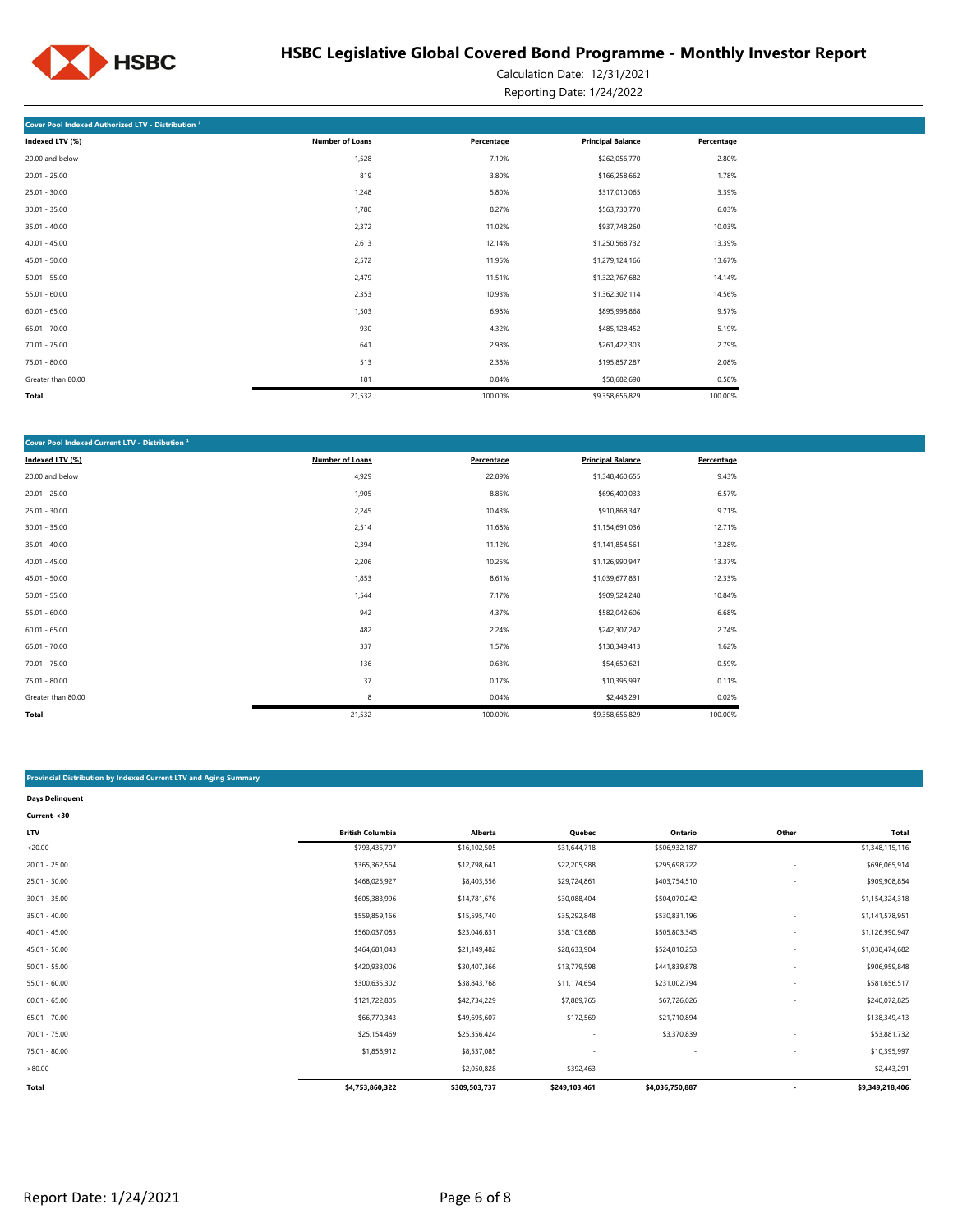

Calculation Date: 12/31/2021 Reporting Date: 1/24/2022

| Cover Pool Indexed Authorized LTV - Distribution <sup>1</sup> |                 |            |                          |            |  |  |  |  |  |  |
|---------------------------------------------------------------|-----------------|------------|--------------------------|------------|--|--|--|--|--|--|
| Indexed LTV (%)                                               | Number of Loans | Percentage | <b>Principal Balance</b> | Percentage |  |  |  |  |  |  |
| 20.00 and below                                               | 1,528           | 7.10%      | \$262,056,770            | 2.80%      |  |  |  |  |  |  |
| $20.01 - 25.00$                                               | 819             | 3.80%      | \$166,258,662            | 1.78%      |  |  |  |  |  |  |
| $25.01 - 30.00$                                               | 1,248           | 5.80%      | \$317,010,065            | 3.39%      |  |  |  |  |  |  |
| $30.01 - 35.00$                                               | 1,780           | 8.27%      | \$563,730,770            | 6.03%      |  |  |  |  |  |  |
| $35.01 - 40.00$                                               | 2,372           | 11.02%     | \$937,748,260            | 10.03%     |  |  |  |  |  |  |
| $40.01 - 45.00$                                               | 2,613           | 12.14%     | \$1,250,568,732          | 13.39%     |  |  |  |  |  |  |
| $45.01 - 50.00$                                               | 2,572           | 11.95%     | \$1,279,124,166          | 13.67%     |  |  |  |  |  |  |
| $50.01 - 55.00$                                               | 2,479           | 11.51%     | \$1,322,767,682          | 14.14%     |  |  |  |  |  |  |
| $55.01 - 60.00$                                               | 2,353           | 10.93%     | \$1,362,302,114          | 14.56%     |  |  |  |  |  |  |
| $60.01 - 65.00$                                               | 1,503           | 6.98%      | \$895,998,868            | 9.57%      |  |  |  |  |  |  |
| $65.01 - 70.00$                                               | 930             | 4.32%      | \$485,128,452            | 5.19%      |  |  |  |  |  |  |
| $70.01 - 75.00$                                               | 641             | 2.98%      | \$261,422,303            | 2.79%      |  |  |  |  |  |  |
| 75.01 - 80.00                                                 | 513             | 2.38%      | \$195,857,287            | 2.08%      |  |  |  |  |  |  |
| Greater than 80.00                                            | 181             | 0.84%      | \$58,682,698             | 0.58%      |  |  |  |  |  |  |
| Total                                                         | 21,532          | 100.00%    | \$9,358,656,829          | 100.00%    |  |  |  |  |  |  |

| Cover Pool Indexed Current LTV - Distribution <sup>1</sup> |                        |            |                          |            |  |  |  |  |  |  |
|------------------------------------------------------------|------------------------|------------|--------------------------|------------|--|--|--|--|--|--|
| Indexed LTV (%)                                            | <b>Number of Loans</b> | Percentage | <b>Principal Balance</b> | Percentage |  |  |  |  |  |  |
| 20.00 and below                                            | 4,929                  | 22.89%     | \$1,348,460,655          | 9.43%      |  |  |  |  |  |  |
| $20.01 - 25.00$                                            | 1,905                  | 8.85%      | \$696,400,033            | 6.57%      |  |  |  |  |  |  |
| $25.01 - 30.00$                                            | 2,245                  | 10.43%     | \$910,868,347            | 9.71%      |  |  |  |  |  |  |
| $30.01 - 35.00$                                            | 2,514                  | 11.68%     | \$1,154,691,036          | 12.71%     |  |  |  |  |  |  |
| $35.01 - 40.00$                                            | 2,394                  | 11.12%     | \$1,141,854,561          | 13.28%     |  |  |  |  |  |  |
| $40.01 - 45.00$                                            | 2,206                  | 10.25%     | \$1,126,990,947          | 13.37%     |  |  |  |  |  |  |
| $45.01 - 50.00$                                            | 1,853                  | 8.61%      | \$1,039,677,831          | 12.33%     |  |  |  |  |  |  |
| $50.01 - 55.00$                                            | 1,544                  | 7.17%      | \$909,524,248            | 10.84%     |  |  |  |  |  |  |
| $55.01 - 60.00$                                            | 942                    | 4.37%      | \$582,042,606            | 6.68%      |  |  |  |  |  |  |
| $60.01 - 65.00$                                            | 482                    | 2.24%      | \$242,307,242            | 2.74%      |  |  |  |  |  |  |
| $65.01 - 70.00$                                            | 337                    | 1.57%      | \$138,349,413            | 1.62%      |  |  |  |  |  |  |
| $70.01 - 75.00$                                            | 136                    | 0.63%      | \$54,650,621             | 0.59%      |  |  |  |  |  |  |
| $75.01 - 80.00$                                            | 37                     | 0.17%      | \$10,395,997             | 0.11%      |  |  |  |  |  |  |
| Greater than 80.00                                         | 8                      | 0.04%      | \$2,443,291              | 0.02%      |  |  |  |  |  |  |
| Total                                                      | 21,532                 | 100.00%    | \$9,358,656,829          | 100.00%    |  |  |  |  |  |  |

#### **Provincial Distribution by Indexed Current LTV and Aging Summary**

| <b>Days Delinquent</b> |                         |               |               |                          |                          |                 |
|------------------------|-------------------------|---------------|---------------|--------------------------|--------------------------|-----------------|
| Current-<30            |                         |               |               |                          |                          |                 |
| LTV                    | <b>British Columbia</b> | Alberta       | Quebec        | Ontario                  | Other                    | Total           |
| < 20.00                | \$793,435,707           | \$16,102,505  | \$31,644,718  | \$506,932,187            | $\overline{\phantom{a}}$ | \$1,348,115,116 |
| $20.01 - 25.00$        | \$365,362,564           | \$12,798,641  | \$22,205,988  | \$295,698,722            | $\overline{\phantom{a}}$ | \$696,065,914   |
| $25.01 - 30.00$        | \$468,025,927           | \$8,403,556   | \$29,724,861  | \$403,754,510            | $\overline{\phantom{a}}$ | \$909,908,854   |
| $30.01 - 35.00$        | \$605,383,996           | \$14,781,676  | \$30,088,404  | \$504,070,242            | $\overline{\phantom{a}}$ | \$1,154,324,318 |
| $35.01 - 40.00$        | \$559,859,166           | \$15,595,740  | \$35,292,848  | \$530,831,196            |                          | \$1,141,578,951 |
| $40.01 - 45.00$        | \$560,037,083           | \$23,046,831  | \$38,103,688  | \$505,803,345            |                          | \$1,126,990,947 |
| $45.01 - 50.00$        | \$464,681,043           | \$21,149,482  | \$28,633,904  | \$524,010,253            |                          | \$1,038,474,682 |
| $50.01 - 55.00$        | \$420,933,006           | \$30,407,366  | \$13,779,598  | \$441,839,878            |                          | \$906,959,848   |
| $55.01 - 60.00$        | \$300,635,302           | \$38,843,768  | \$11,174,654  | \$231,002,794            |                          | \$581,656,517   |
| $60.01 - 65.00$        | \$121,722,805           | \$42,734,229  | \$7,889,765   | \$67,726,026             |                          | \$240,072,825   |
| $65.01 - 70.00$        | \$66,770,343            | \$49,695,607  | \$172,569     | \$21,710,894             |                          | \$138,349,413   |
| 70.01 - 75.00          | \$25,154,469            | \$25,356,424  | ٠             | \$3,370,839              |                          | \$53,881,732    |
| 75.01 - 80.00          | \$1,858,912             | \$8,537,085   | ٠             | $\overline{\phantom{a}}$ |                          | \$10,395,997    |
| >80.00                 | ٠                       | \$2,050,828   | \$392,463     |                          |                          | \$2,443,291     |
| <b>Total</b>           | \$4,753,860,322         | \$309,503,737 | \$249,103,461 | \$4,036,750,887          |                          | \$9,349,218,406 |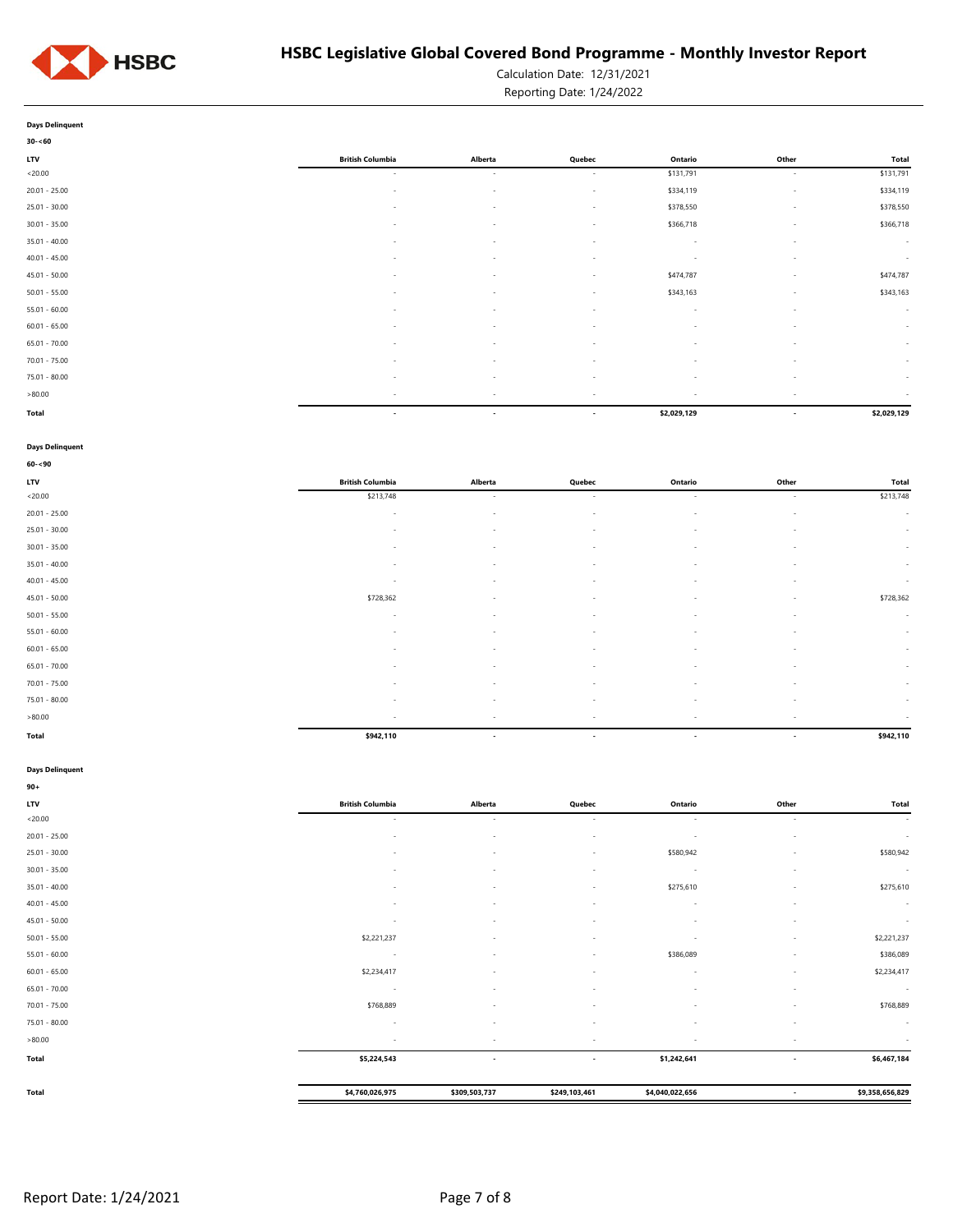

Calculation Date: 12/31/2021

Reporting Date: 1/24/2022

**Days Delinquent**

| $30 - 60$       |                          |                          |                          |             |                          |             |
|-----------------|--------------------------|--------------------------|--------------------------|-------------|--------------------------|-------------|
| <b>LTV</b>      | <b>British Columbia</b>  | Alberta                  | Quebec                   | Ontario     | Other                    | Total       |
| < 20.00         | $\sim$                   | $\overline{\phantom{a}}$ | $\sim$                   | \$131,791   | $\sim$                   | \$131,791   |
| $20.01 - 25.00$ | $\sim$                   | $\overline{\phantom{a}}$ | $\sim$                   | \$334,119   | $\sim$                   | \$334,119   |
| $25.01 - 30.00$ | $\sim$                   | $\overline{\phantom{a}}$ | $\sim$                   | \$378,550   | $\sim$                   | \$378,550   |
| $30.01 - 35.00$ | $\overline{\phantom{a}}$ | $\overline{\phantom{a}}$ | $\sim$                   | \$366,718   | $\overline{\phantom{a}}$ | \$366,718   |
| $35.01 - 40.00$ |                          | ۰                        | $\sim$                   | $\sim$      | $\sim$                   | $\sim$      |
| $40.01 - 45.00$ | $\overline{\phantom{a}}$ | $\overline{\phantom{a}}$ | $\sim$                   | $\sim$      | $\sim$                   | $\sim$      |
| $45.01 - 50.00$ | $\sim$                   | $\overline{\phantom{a}}$ | $\sim$                   | \$474,787   | $\sim$                   | \$474,787   |
| $50.01 - 55.00$ | $\sim$                   | $\overline{\phantom{a}}$ | $\sim$                   | \$343,163   | $\sim$                   | \$343,163   |
| $55.01 - 60.00$ | $\overline{\phantom{a}}$ | ٠                        | $\sim$                   | $\sim$      | $\sim$                   | $\sim$      |
| $60.01 - 65.00$ | $\overline{\phantom{a}}$ | ٠                        | $\sim$                   | $\sim$      | $\overline{\phantom{a}}$ | $\sim$      |
| $65.01 - 70.00$ | $\sim$                   | ٠                        | $\sim$                   | $\sim$      | $\sim$                   | $\sim$      |
| $70.01 - 75.00$ | $\overline{\phantom{a}}$ | ٠                        | $\overline{\phantom{a}}$ | -           | $\sim$                   | $\sim$      |
| $75.01 - 80.00$ | $\sim$                   | $\overline{\phantom{a}}$ | $\sim$                   | $\sim$      | $\sim$                   | $\sim$      |
| >80.00          | $\sim$                   | ٠                        | $\sim$                   | $\sim$      | $\overline{\phantom{a}}$ | $\sim$      |
| Total           | $\overline{\phantom{a}}$ | $\overline{\phantom{a}}$ | $\overline{\phantom{a}}$ | \$2,029,129 | $\overline{\phantom{a}}$ | \$2,029,129 |

#### **Days Delinquent**

| $60 - 90$       |                          |                          |                          |         |                          |           |
|-----------------|--------------------------|--------------------------|--------------------------|---------|--------------------------|-----------|
| <b>LTV</b>      | <b>British Columbia</b>  | Alberta                  | Quebec                   | Ontario | Other                    | Total     |
| < 20.00         | \$213,748                | $\sim$                   | $\sim$                   | $\sim$  | $\overline{a}$           | \$213,748 |
| $20.01 - 25.00$ | $\overline{\phantom{a}}$ | $\sim$                   | $\sim$                   | $\sim$  | $\sim$                   | $\sim$    |
| $25.01 - 30.00$ | $\overline{\phantom{a}}$ | $\sim$                   | $\sim$                   | $\sim$  | $\overline{\phantom{a}}$ | $\sim$    |
| $30.01 - 35.00$ | $\sim$                   | $\sim$                   | $\sim$                   | $\sim$  | $\overline{\phantom{a}}$ | $\sim$    |
| $35.01 - 40.00$ | $\sim$                   | $\overline{\phantom{a}}$ | $\sim$                   | и.      | $\overline{\phantom{a}}$ | $\sim$    |
| $40.01 - 45.00$ | $\overline{\phantom{a}}$ | $\sim$                   | $\sim$                   | $\sim$  | $\sim$                   | $\sim$    |
| $45.01 - 50.00$ | \$728,362                | $\sim$                   | $\sim$                   | $\sim$  | $\overline{\phantom{a}}$ | \$728,362 |
| $50.01 - 55.00$ | $\overline{\phantom{a}}$ | $\sim$                   | $\overline{\phantom{a}}$ | $\sim$  | $\overline{\phantom{a}}$ | $\sim$    |
| $55.01 - 60.00$ | $\sim$                   | $\sim$                   | $\sim$                   | $\sim$  | $\overline{\phantom{a}}$ | $\sim$    |
| $60.01 - 65.00$ | $\overline{\phantom{a}}$ | $\sim$                   | $\sim$                   | $\sim$  | $\overline{\phantom{a}}$ | $\sim$    |
| $65.01 - 70.00$ | $\overline{\phantom{a}}$ | $\sim$                   | $\sim$                   | $\sim$  | $\overline{\phantom{a}}$ | $\sim$    |
| $70.01 - 75.00$ | $\sim$                   | $\sim$                   | $\sim$                   | $\sim$  | $\sim$                   | $\sim$    |
| $75.01 - 80.00$ | $\overline{\phantom{a}}$ | $\overline{\phantom{a}}$ | $\sim$                   |         | $\overline{\phantom{a}}$ | $\sim$    |
| >80.00          | $\overline{\phantom{a}}$ | $\sim$                   | $\sim$                   | $\sim$  | $\overline{\phantom{a}}$ | $\sim$    |
| <b>Total</b>    | \$942,110                | $\overline{\phantom{a}}$ | $\overline{\phantom{a}}$ | $\sim$  | $\overline{\phantom{a}}$ | \$942,110 |

### **Days Delinquent**

| $90 +$          |                          |                          |                          |                          |                          |                 |
|-----------------|--------------------------|--------------------------|--------------------------|--------------------------|--------------------------|-----------------|
| LTV             | <b>British Columbia</b>  | Alberta                  | Quebec                   | Ontario                  | Other                    | Total           |
| < 20.00         | $\sim$                   | $\overline{\phantom{a}}$ | $\sim$                   | $\sim$                   | $\sim$                   | $\sim$          |
| $20.01 - 25.00$ |                          |                          | ٠                        | $\sim$                   | ٠                        | $\sim$          |
| $25.01 - 30.00$ |                          | ٠                        | $\overline{\phantom{a}}$ | \$580,942                | $\sim$                   | \$580,942       |
| $30.01 - 35.00$ | $\overline{\phantom{a}}$ | $\overline{\phantom{a}}$ | $\overline{\phantom{a}}$ | $\sim$                   | $\sim$                   | $\sim$          |
| $35.01 - 40.00$ |                          | ٠                        | $\overline{\phantom{a}}$ | \$275,610                | $\sim$                   | \$275,610       |
| $40.01 - 45.00$ |                          | ٠                        | $\overline{\phantom{a}}$ | $\sim$                   | $\sim$                   | $\sim$          |
| $45.01 - 50.00$ |                          | $\overline{\phantom{a}}$ | $\overline{\phantom{a}}$ | $\overline{\phantom{a}}$ | $\sim$                   | $\sim$          |
| $50.01 - 55.00$ | \$2,221,237              | $\overline{\phantom{a}}$ | $\sim$                   | $\overline{\phantom{a}}$ | $\sim$                   | \$2,221,237     |
| $55.01 - 60.00$ | $\sim$                   | ٠                        | $\overline{\phantom{a}}$ | \$386,089                | $\sim$                   | \$386,089       |
| $60.01 - 65.00$ | \$2,234,417              |                          | $\overline{\phantom{a}}$ | $\sim$                   | $\sim$                   | \$2,234,417     |
| $65.01 - 70.00$ | $\sim$                   | $\overline{\phantom{a}}$ | $\overline{\phantom{a}}$ | $\overline{\phantom{a}}$ | $\sim$                   | $\sim$          |
| $70.01 - 75.00$ | \$768,889                | $\overline{\phantom{a}}$ | $\overline{\phantom{a}}$ | $\sim$                   | $\sim$                   | \$768,889       |
| $75.01 - 80.00$ | $\sim$                   | $\overline{\phantom{a}}$ | $\sim$                   | $\sim$                   | $\sim$                   | $\sim$          |
| >80.00          |                          | $\overline{\phantom{a}}$ | ٠                        | $\overline{\phantom{a}}$ | $\sim$                   | $\sim$          |
| Total           | \$5,224,543              | $\overline{\phantom{a}}$ | $\overline{\phantom{a}}$ | \$1,242,641              | $\overline{\phantom{a}}$ | \$6,467,184     |
| Total           | \$4,760,026,975          | \$309,503,737            | \$249,103,461            | \$4,040,022,656          | $\overline{\phantom{a}}$ | \$9,358,656,829 |